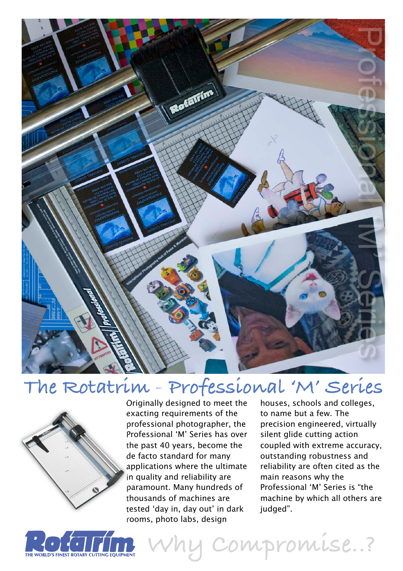

# The Rotatrim - Professional 'M' Series



Originally designed to meet the exacting requirements of the professional photographer, the Professional 'M' Series has over the past 40 years, become the de facto standard for many applications where the ultimate in quality and reliability are paramount. Many hundreds of thousands of machines are tested 'day in, day out' in dark rooms, photo labs, design

houses, schools and colleges, to name but a few. The precision engineered, virtually silent glide cutting action coupled with extreme accuracy, outstanding robustness and reliability are often cited as the main reasons why the Professional 'M' Series is "the machine by which all others are judged".



**Why Compromise..?**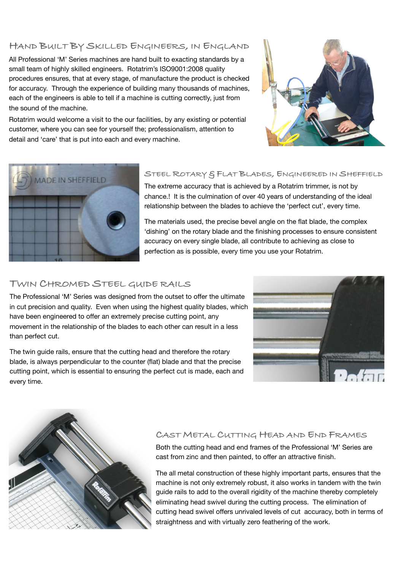## **HAND BUILT BY SKILLED ENGINEERS, IN ENGLAND**

All Professional 'M' Series machines are hand built to exacting standards by a small team of highly skilled engineers. Rotatrim's ISO9001:2008 quality procedures ensures, that at every stage, of manufacture the product is checked for accuracy. Through the experience of building many thousands of machines, each of the engineers is able to tell if a machine is cutting correctly, just from the sound of the machine.

Rotatrim would welcome a visit to the our facilities, by any existing or potential customer, where you can see for yourself the; professionalism, attention to detail and 'care' that is put into each and every machine.





### **STEEL ROTARY & FLAT BLADES, ENGINEERED IN SHEFFIELD**

The extreme accuracy that is achieved by a Rotatrim trimmer, is not by chance.! It is the culmination of over 40 years of understanding of the ideal relationship between the blades to achieve the 'perfect cut', every time.

The materials used, the precise bevel angle on the flat blade, the complex 'dishing' on the rotary blade and the finishing processes to ensure consistent accuracy on every single blade, all contribute to achieving as close to perfection as is possible, every time you use your Rotatrim.

#### **TWIN CHROMED STEEL GUIDE RAILS**

The Professional 'M' Series was designed from the outset to offer the ultimate in cut precision and quality. Even when using the highest quality blades, which have been engineered to offer an extremely precise cutting point, any movement in the relationship of the blades to each other can result in a less than perfect cut.

The twin guide rails, ensure that the cutting head and therefore the rotary blade, is always perpendicular to the counter (flat) blade and that the precise cutting point, which is essential to ensuring the perfect cut is made, each and every time.





#### **CAST METAL CUTTING HEAD AND END FRAMES**

Both the cutting head and end frames of the Professional 'M' Series are cast from zinc and then painted, to offer an attractive finish.

The all metal construction of these highly important parts, ensures that the machine is not only extremely robust, it also works in tandem with the twin guide rails to add to the overall rigidity of the machine thereby completely eliminating head swivel during the cutting process. The elimination of cutting head swivel offers unrivaled levels of cut accuracy, both in terms of straightness and with virtually zero feathering of the work.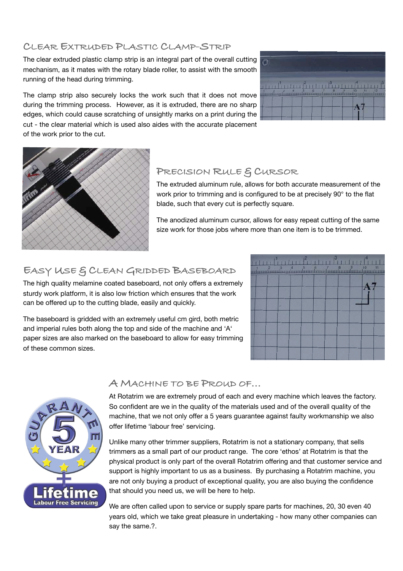### **CLEAR EXTRUDED PLASTIC CLAMP-STRIP**

The clear extruded plastic clamp strip is an integral part of the overall cutting mechanism, as it mates with the rotary blade roller, to assist with the smooth running of the head during trimming.

The clamp strip also securely locks the work such that it does not move during the trimming process. However, as it is extruded, there are no sharp edges, which could cause scratching of unsightly marks on a print during the cut - the clear material which is used also aides with the accurate placement of the work prior to the cut.





# **PRECISION RULE & CURSOR**

The extruded aluminum rule, allows for both accurate measurement of the work prior to trimming and is configured to be at precisely 90° to the flat blade, such that every cut is perfectly square.

The anodized aluminum cursor, allows for easy repeat cutting of the same size work for those jobs where more than one item is to be trimmed.

# **EASY USE & CLEAN GRIDDED BASEBOARD**

The high quality melamine coated baseboard, not only offers a extremely sturdy work platform, it is also low friction which ensures that the work can be offered up to the cutting blade, easily and quickly.

The baseboard is gridded with an extremely useful cm gird, both metric and imperial rules both along the top and side of the machine and 'A' paper sizes are also marked on the baseboard to allow for easy trimming of these common sizes.





## **A MACHINE TO BE PROUD OF...**

At Rotatrim we are extremely proud of each and every machine which leaves the factory. So confident are we in the quality of the materials used and of the overall quality of the machine, that we not only offer a 5 years guarantee against faulty workmanship we also offer lifetime 'labour free' servicing.

Unlike many other trimmer suppliers, Rotatrim is not a stationary company, that sells trimmers as a small part of our product range. The core 'ethos' at Rotatrim is that the physical product is only part of the overall Rotatrim offering and that customer service and support is highly important to us as a business. By purchasing a Rotatrim machine, you are not only buying a product of exceptional quality, you are also buying the confidence that should you need us, we will be here to help.

We are often called upon to service or supply spare parts for machines, 20, 30 even 40 years old, which we take great pleasure in undertaking - how many other companies can say the same.?.